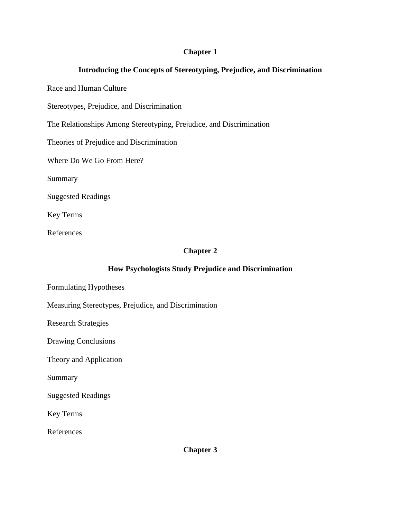### **Chapter 1**

# **Introducing the Concepts of Stereotyping, Prejudice, and Discrimination**

Race and Human Culture

Stereotypes, Prejudice, and Discrimination

The Relationships Among Stereotyping, Prejudice, and Discrimination

Theories of Prejudice and Discrimination

Where Do We Go From Here?

Summary

Suggested Readings

Key Terms

References

### **Chapter 2**

## **How Psychologists Study Prejudice and Discrimination**

- Formulating Hypotheses
- Measuring Stereotypes, Prejudice, and Discrimination

Research Strategies

Drawing Conclusions

Theory and Application

Summary

Suggested Readings

Key Terms

References

**Chapter 3**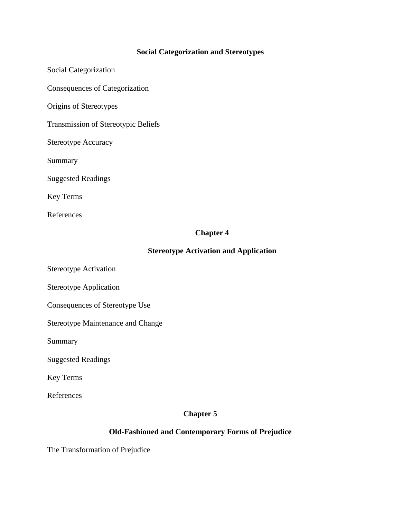# **Social Categorization and Stereotypes**

Social Categorization Consequences of Categorization Origins of Stereotypes Transmission of Stereotypic Beliefs Stereotype Accuracy Summary Suggested Readings Key Terms References

### **Chapter 4**

## **Stereotype Activation and Application**

Stereotype Activation

Stereotype Application

Consequences of Stereotype Use

Stereotype Maintenance and Change

Summary

Suggested Readings

Key Terms

References

#### **Chapter 5**

# **Old-Fashioned and Contemporary Forms of Prejudice**

The Transformation of Prejudice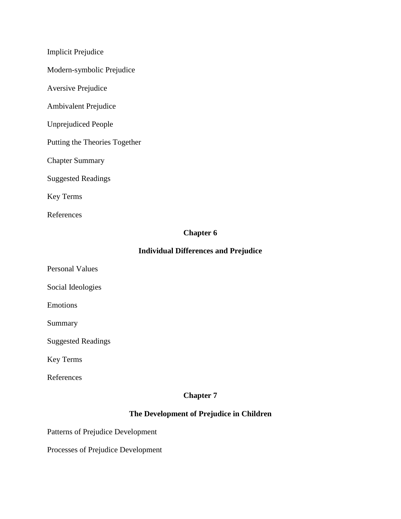Implicit Prejudice

Modern-symbolic Prejudice

Aversive Prejudice

Ambivalent Prejudice

Unprejudiced People

Putting the Theories Together

Chapter Summary

Suggested Readings

Key Terms

References

## **Chapter 6**

### **Individual Differences and Prejudice**

Personal Values

Social Ideologies

Emotions

Summary

Suggested Readings

Key Terms

References

### **Chapter 7**

# **The Development of Prejudice in Children**

Patterns of Prejudice Development

Processes of Prejudice Development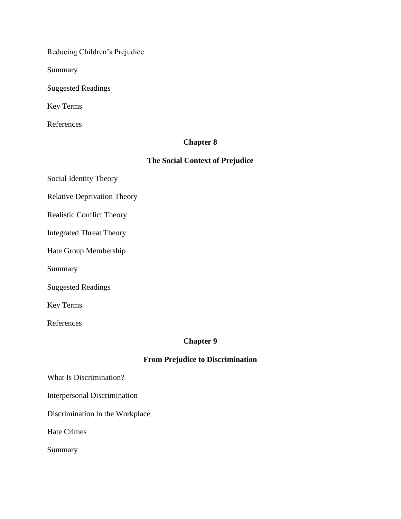Reducing Children's Prejudice

Summary

Suggested Readings

Key Terms

References

### **Chapter 8**

# **The Social Context of Prejudice**

Social Identity Theory

Relative Deprivation Theory

Realistic Conflict Theory

Integrated Threat Theory

Hate Group Membership

Summary

Suggested Readings

Key Terms

References

### **Chapter 9**

## **From Prejudice to Discrimination**

What Is Discrimination?

Interpersonal Discrimination

Discrimination in the Workplace

Hate Crimes

Summary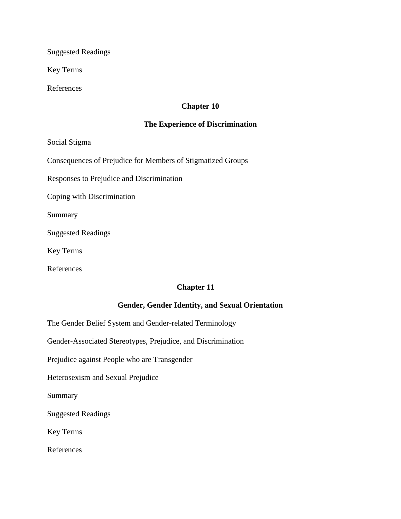Suggested Readings

Key Terms

References

# **Chapter 10**

#### **The Experience of Discrimination**

Social Stigma

Consequences of Prejudice for Members of Stigmatized Groups

Responses to Prejudice and Discrimination

Coping with Discrimination

Summary

Suggested Readings

Key Terms

References

#### **Chapter 11**

#### **Gender, Gender Identity, and Sexual Orientation**

The Gender Belief System and Gender-related Terminology

Gender-Associated Stereotypes, Prejudice, and Discrimination

Prejudice against People who are Transgender

Heterosexism and Sexual Prejudice

Summary

Suggested Readings

Key Terms

References